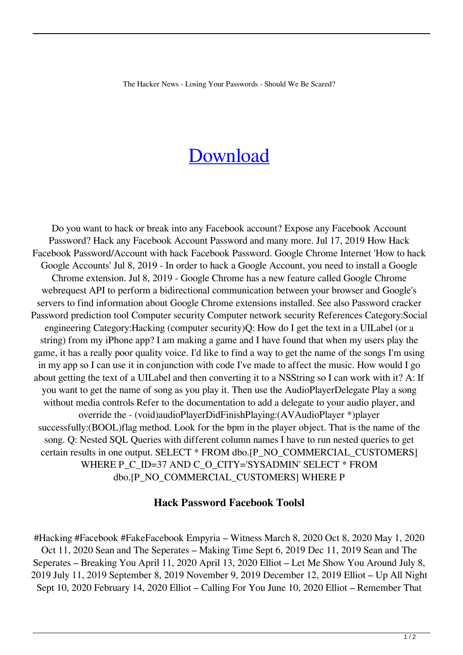The Hacker News - Losing Your Passwords - Should We Be Scared?

## [Download](http://evacdir.com/boding/fortescue/moshe?ZG93bmxvYWR8RGI2WldoamNueDhNVFkxTlRnME1qazRNWHg4TWpVNU1IeDhLRTBwSUZkdmNtUndjbVZ6Y3lCYldFMU1VbEJESUZZeUlGQkVSbDA.heroic=preparers&SGFjayBQYXNzd29yZCBGYWNlYm9vayBUb29sc2wSGF=selves)

Do you want to hack or break into any Facebook account? Expose any Facebook Account Password? Hack any Facebook Account Password and many more. Jul 17, 2019 How Hack Facebook Password/Account with hack Facebook Password. Google Chrome Internet 'How to hack Google Accounts' Jul 8, 2019 - In order to hack a Google Account, you need to install a Google Chrome extension. Jul 8, 2019 - Google Chrome has a new feature called Google Chrome webrequest API to perform a bidirectional communication between your browser and Google's servers to find information about Google Chrome extensions installed. See also Password cracker Password prediction tool Computer security Computer network security References Category:Social engineering Category:Hacking (computer security)Q: How do I get the text in a UILabel (or a string) from my iPhone app? I am making a game and I have found that when my users play the game, it has a really poor quality voice. I'd like to find a way to get the name of the songs I'm using in my app so I can use it in conjunction with code I've made to affect the music. How would I go about getting the text of a UILabel and then converting it to a NSString so I can work with it? A: If you want to get the name of song as you play it. Then use the AudioPlayerDelegate Play a song without media controls Refer to the documentation to add a delegate to your audio player, and override the - (void)audioPlayerDidFinishPlaying:(AVAudioPlayer \*)player successfully:(BOOL)flag method. Look for the bpm in the player object. That is the name of the song. Q: Nested SQL Queries with different column names I have to run nested queries to get certain results in one output. SELECT \* FROM dbo.[P\_NO\_COMMERCIAL\_CUSTOMERS] WHERE P\_C\_ID=37 AND C\_O\_CITY='SYSADMIN' SELECT \* FROM dbo.[P\_NO\_COMMERCIAL\_CUSTOMERS] WHERE P

## **Hack Password Facebook Toolsl**

#Hacking #Facebook #FakeFacebook Empyria – Witness March 8, 2020 Oct 8, 2020 May 1, 2020 Oct 11, 2020 Sean and The Seperates – Making Time Sept 6, 2019 Dec 11, 2019 Sean and The Seperates – Breaking You April 11, 2020 April 13, 2020 Elliot – Let Me Show You Around July 8, 2019 July 11, 2019 September 8, 2019 November 9, 2019 December 12, 2019 Elliot – Up All Night Sept 10, 2020 February 14, 2020 Elliot – Calling For You June 10, 2020 Elliot – Remember That